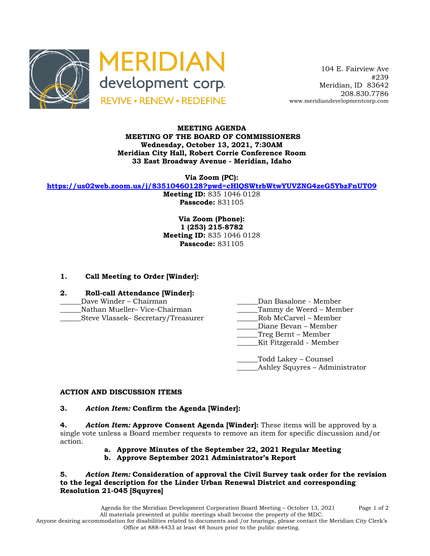



 104 E. Fairview Ave #239 Meridian, ID 83642 208.830.7786 www.meridiandevelopmentcorp.com

#### **MEETING AGENDA MEETING OF THE BOARD OF COMMISSIONERS Wednesday, October 13, 2021, 7:30AM Meridian City Hall, Robert Corrie Conference Room 33 East Broadway Avenue - Meridian, Idaho**

**Via Zoom (PC):**

**https://us02web.zoom.us/j/83510460128?pwd=cHlQSWtrbWtwYUVZNG4zeG5YbzFnUT09**

**Meeting ID:** 835 1046 0128 **Passcode:** 831105

**Via Zoom (Phone): 1 (253) 215-8782 Meeting ID:** 835 1046 0128 **Passcode:** 831105

# **1. Call Meeting to Order [Winder]:**

## **2. Roll-call Attendance [Winder]:**

- 
- 
- Steve Vlassek– Secretary/Treasurer
- Dave Winder Chairman **Dan Basalone Member**
- \_\_\_\_\_\_Nathan Mueller– Vice-Chairman \_\_\_\_\_\_Tammy de Weerd Member
	-
	- Diane Bevan Member
	- \_\_\_\_\_\_Treg Bernt Member
	- \_\_\_\_\_\_Kit Fitzgerald Member

\_\_\_\_\_\_Todd Lakey – Counsel \_Ashley Squyres – Administrator

## **ACTION AND DISCUSSION ITEMS**

## **3.** *Action Item:* **Confirm the Agenda [Winder]:**

**4.** *Action Item:* **Approve Consent Agenda [Winder]:** These items will be approved by a single vote unless a Board member requests to remove an item for specific discussion and/or action.

- **a. Approve Minutes of the September 22, 2021 Regular Meeting**
- **b. Approve September 2021 Administrator's Report**

**5.** *Action Item:* **Consideration of approval the Civil Survey task order for the revision to the legal description for the Linder Urban Renewal District and corresponding Resolution 21-045 [Squyres]**